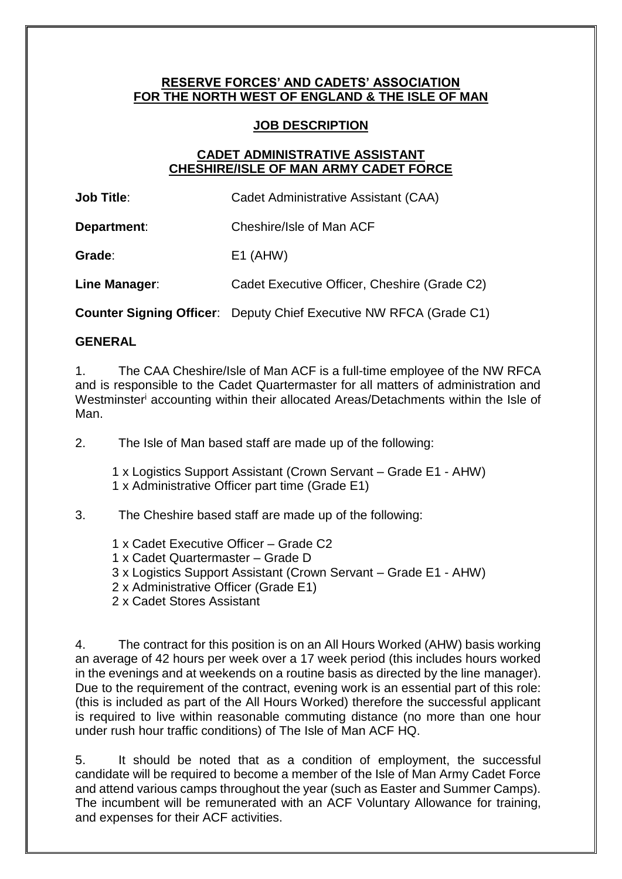#### **RESERVE FORCES' AND CADETS' ASSOCIATION FOR THE NORTH WEST OF ENGLAND & THE ISLE OF MAN**

#### **JOB DESCRIPTION**

### **CADET ADMINISTRATIVE ASSISTANT CHESHIRE/ISLE OF MAN ARMY CADET FORCE**

**Job Title**: **Cadet Administrative Assistant (CAA)** 

**Department:** Cheshire/Isle of Man ACF

**Grade**: E1 (AHW)

**Line Manager**: Cadet Executive Officer, Cheshire (Grade C2)

**Counter Signing Officer**: Deputy Chief Executive NW RFCA (Grade C1)

#### **GENERAL**

1. The CAA Cheshire/Isle of Man ACF is a full-time employee of the NW RFCA and is responsible to the Cadet Quartermaster for all matters of administration and Westminster<sup>i</sup> accounting within their allocated Areas/Detachments within the Isle of Man.

2. The Isle of Man based staff are made up of the following:

1 x Logistics Support Assistant (Crown Servant – Grade E1 - AHW) 1 x Administrative Officer part time (Grade E1)

3. The Cheshire based staff are made up of the following:

- 1 x Cadet Executive Officer Grade C2
- 1 x Cadet Quartermaster Grade D
- 3 x Logistics Support Assistant (Crown Servant Grade E1 AHW)
- 2 x Administrative Officer (Grade E1)
- 2 x Cadet Stores Assistant

4. The contract for this position is on an All Hours Worked (AHW) basis working an average of 42 hours per week over a 17 week period (this includes hours worked in the evenings and at weekends on a routine basis as directed by the line manager). Due to the requirement of the contract, evening work is an essential part of this role: (this is included as part of the All Hours Worked) therefore the successful applicant is required to live within reasonable commuting distance (no more than one hour under rush hour traffic conditions) of The Isle of Man ACF HQ.

5. It should be noted that as a condition of employment, the successful candidate will be required to become a member of the Isle of Man Army Cadet Force and attend various camps throughout the year (such as Easter and Summer Camps). The incumbent will be remunerated with an ACF Voluntary Allowance for training, and expenses for their ACF activities.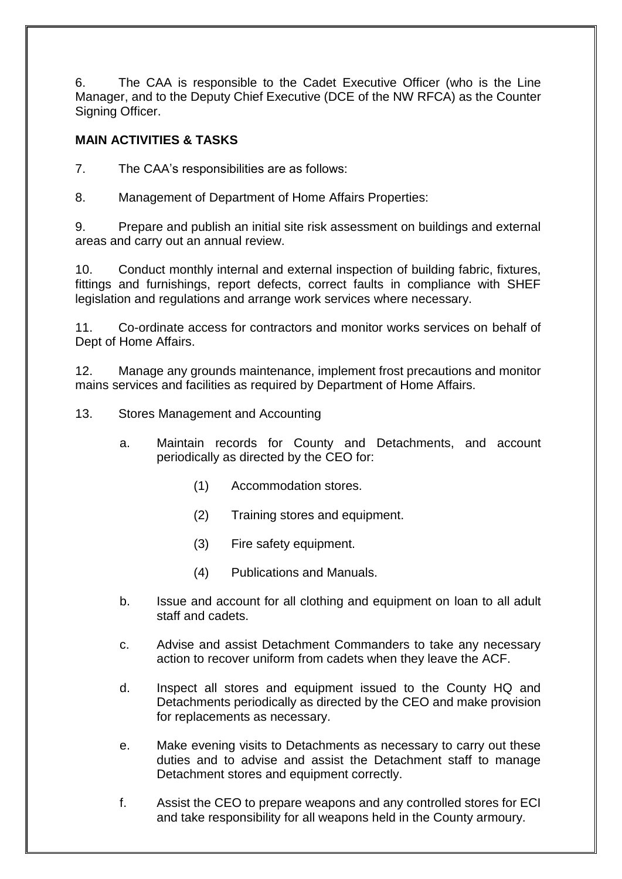6. The CAA is responsible to the Cadet Executive Officer (who is the Line Manager, and to the Deputy Chief Executive (DCE of the NW RFCA) as the Counter Signing Officer.

# **MAIN ACTIVITIES & TASKS**

7. The CAA's responsibilities are as follows:

8. Management of Department of Home Affairs Properties:

9. Prepare and publish an initial site risk assessment on buildings and external areas and carry out an annual review.

10. Conduct monthly internal and external inspection of building fabric, fixtures, fittings and furnishings, report defects, correct faults in compliance with SHEF legislation and regulations and arrange work services where necessary.

11. Co-ordinate access for contractors and monitor works services on behalf of Dept of Home Affairs.

12. Manage any grounds maintenance, implement frost precautions and monitor mains services and facilities as required by Department of Home Affairs.

13. Stores Management and Accounting

- a. Maintain records for County and Detachments, and account periodically as directed by the CEO for:
	- (1) Accommodation stores.
	- (2) Training stores and equipment.
	- (3) Fire safety equipment.
	- (4) Publications and Manuals.
- b. Issue and account for all clothing and equipment on loan to all adult staff and cadets.
- c. Advise and assist Detachment Commanders to take any necessary action to recover uniform from cadets when they leave the ACF.
- d. Inspect all stores and equipment issued to the County HQ and Detachments periodically as directed by the CEO and make provision for replacements as necessary.
- e. Make evening visits to Detachments as necessary to carry out these duties and to advise and assist the Detachment staff to manage Detachment stores and equipment correctly.
- f. Assist the CEO to prepare weapons and any controlled stores for ECI and take responsibility for all weapons held in the County armoury.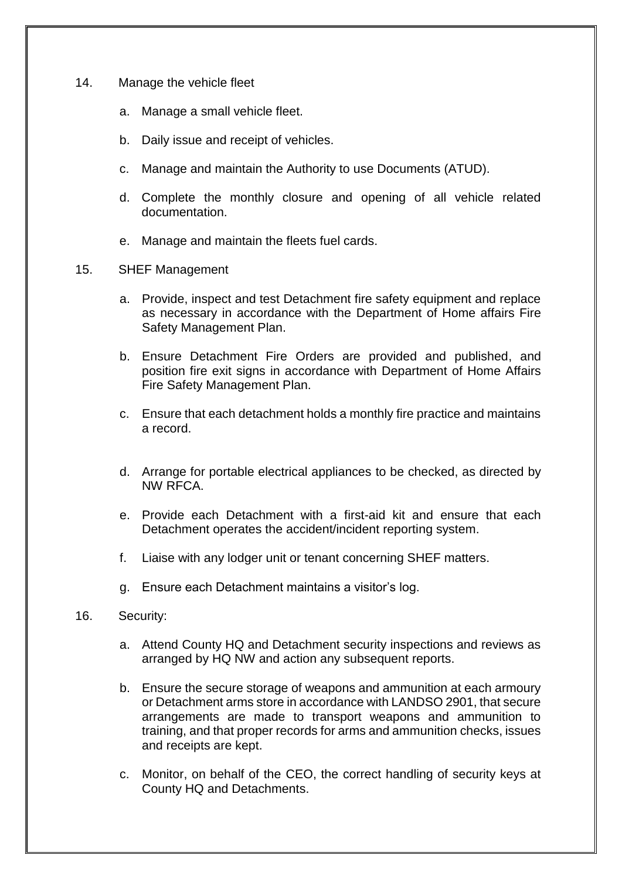- 14. Manage the vehicle fleet
	- a. Manage a small vehicle fleet.
	- b. Daily issue and receipt of vehicles.
	- c. Manage and maintain the Authority to use Documents (ATUD).
	- d. Complete the monthly closure and opening of all vehicle related documentation.
	- e. Manage and maintain the fleets fuel cards.
- 15. SHEF Management
	- a. Provide, inspect and test Detachment fire safety equipment and replace as necessary in accordance with the Department of Home affairs Fire Safety Management Plan.
	- b. Ensure Detachment Fire Orders are provided and published, and position fire exit signs in accordance with Department of Home Affairs Fire Safety Management Plan.
	- c. Ensure that each detachment holds a monthly fire practice and maintains a record.
	- d. Arrange for portable electrical appliances to be checked, as directed by NW RFCA.
	- e. Provide each Detachment with a first-aid kit and ensure that each Detachment operates the accident/incident reporting system.
	- f. Liaise with any lodger unit or tenant concerning SHEF matters.
	- g. Ensure each Detachment maintains a visitor's log.
- 16. Security:
	- a. Attend County HQ and Detachment security inspections and reviews as arranged by HQ NW and action any subsequent reports.
	- b. Ensure the secure storage of weapons and ammunition at each armoury or Detachment arms store in accordance with LANDSO 2901, that secure arrangements are made to transport weapons and ammunition to training, and that proper records for arms and ammunition checks, issues and receipts are kept.
	- c. Monitor, on behalf of the CEO, the correct handling of security keys at County HQ and Detachments.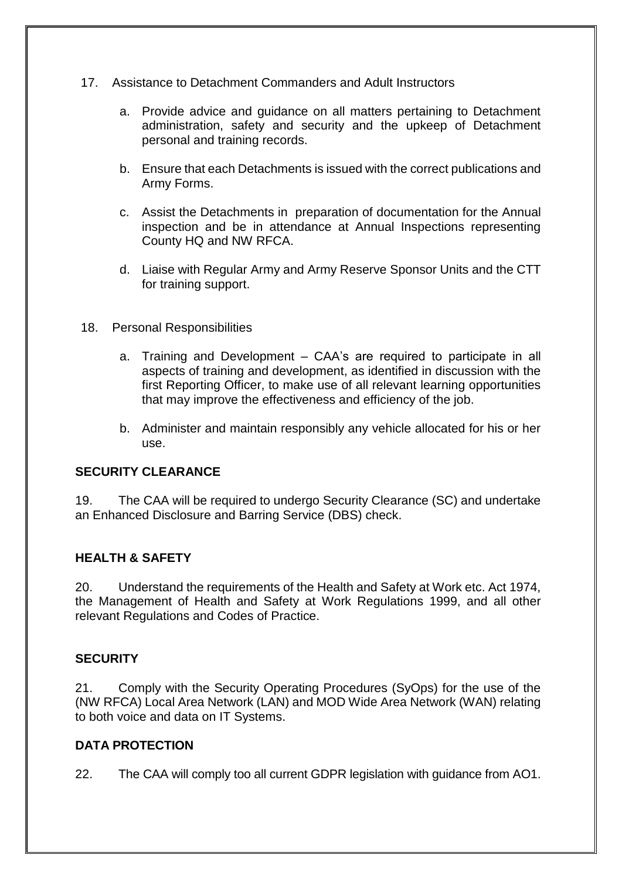- 17. Assistance to Detachment Commanders and Adult Instructors
	- a. Provide advice and guidance on all matters pertaining to Detachment administration, safety and security and the upkeep of Detachment personal and training records.
	- b. Ensure that each Detachments is issued with the correct publications and Army Forms.
	- c. Assist the Detachments in preparation of documentation for the Annual inspection and be in attendance at Annual Inspections representing County HQ and NW RFCA.
	- d. Liaise with Regular Army and Army Reserve Sponsor Units and the CTT for training support.
- 18. Personal Responsibilities
	- a. Training and Development CAA's are required to participate in all aspects of training and development, as identified in discussion with the first Reporting Officer, to make use of all relevant learning opportunities that may improve the effectiveness and efficiency of the job.
	- b. Administer and maintain responsibly any vehicle allocated for his or her use.

## **SECURITY CLEARANCE**

19. The CAA will be required to undergo Security Clearance (SC) and undertake an Enhanced Disclosure and Barring Service (DBS) check.

## **HEALTH & SAFETY**

20. Understand the requirements of the Health and Safety at Work etc. Act 1974, the Management of Health and Safety at Work Regulations 1999, and all other relevant Regulations and Codes of Practice.

## **SECURITY**

21. Comply with the Security Operating Procedures (SyOps) for the use of the (NW RFCA) Local Area Network (LAN) and MOD Wide Area Network (WAN) relating to both voice and data on IT Systems.

## **DATA PROTECTION**

22. The CAA will comply too all current GDPR legislation with guidance from AO1.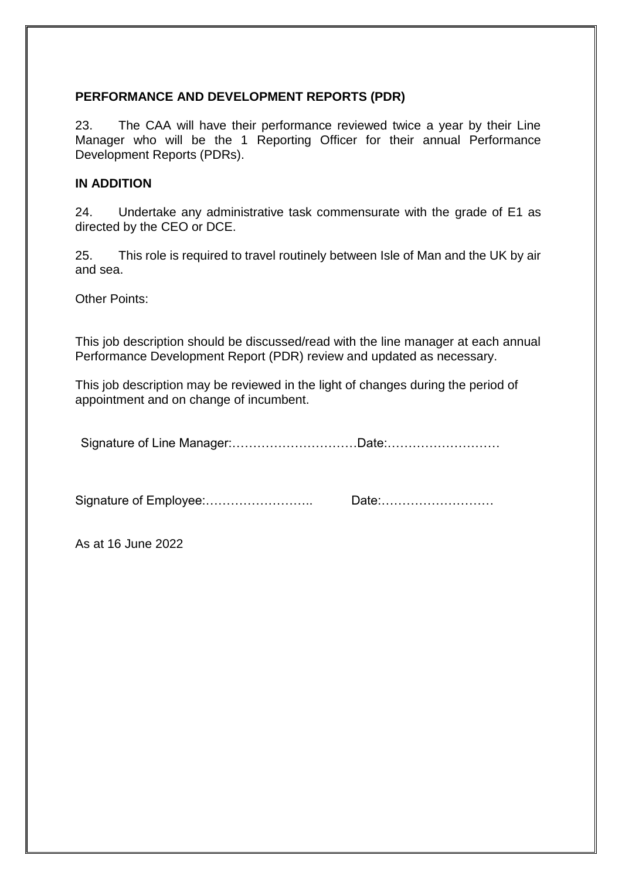### **PERFORMANCE AND DEVELOPMENT REPORTS (PDR)**

23. The CAA will have their performance reviewed twice a year by their Line Manager who will be the 1 Reporting Officer for their annual Performance Development Reports (PDRs).

#### **IN ADDITION**

24. Undertake any administrative task commensurate with the grade of E1 as directed by the CEO or DCE.

25. This role is required to travel routinely between Isle of Man and the UK by air and sea.

Other Points:

This job description should be discussed/read with the line manager at each annual Performance Development Report (PDR) review and updated as necessary.

This job description may be reviewed in the light of changes during the period of appointment and on change of incumbent.

Signature of Line Manager:…………………………Date:………………………

Signature of Employee:…………………….. Date:………………………

As at 16 June 2022